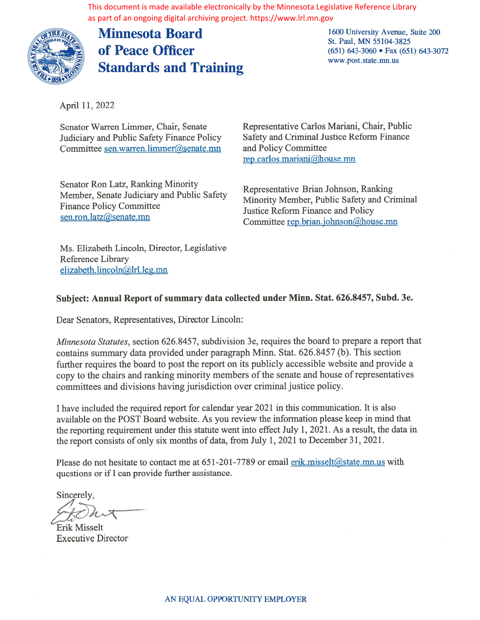as part of an ongoing digital archiving project. https://www.lrl.mn.gov



Minnesota Board of Peace Officer Standards and Training 1600 University Avenue, Suite 200 St. Paul, MN 55 104-3825 (651) 643-3060 • Fax (651) 643-3072 www.post.state.mn.us

April 11, 2022

Senator Warren Limmer, Chair, Senate Judiciary and Public Safety Finance Policy Committee sen.warren.limmer@senate.mn

Senator Ron Latz, Ranking Minority Member, Senate Judiciary and Public Safety finance Policy Committee sen.ron.latz@senate.mn

Representative Carlos Mariani, Chair, Public Safety and Criminal Justice Reform finance and Policy Committee rep.carlos.mariani@house.mn

Representative Brian Johnson, Ranking Minority Member, Public Safety and Criminal Justice Reform Finance and Policy Committee rep.brian.johnson@house.mn

Ms. Elizabeth Lincoln, Director, Legislative Reference Library elizabeth.lincoln@lrl.leg.mn

## Subject: Annual Report of summary data collected under Minn. Stat. 626.8457, \$ubd. 3e.

Dear Senators, Representatives, Director Lincoln:

Minnesota Statutes, section 626.8457, subdivision 3e, requires the board to prepare <sup>a</sup> repor<sup>t</sup> that contains summary data provided under paragraph Minn. Stat. 626.8457 (b). This section further requires the board to pos<sup>t</sup> the repor<sup>t</sup> on its publicly accessible website and provide <sup>a</sup> copy to the chairs and ranking minority members of the senate and house of representatives committees and divisions having jurisdiction over criminal justice policy. The document is made available electronically by the Minnesota Legislative federace Library<br>
Solution ongoing signal action (and thus *Silwows in timages*)<br>
Minnesota Board<br>
Solution Standard's and Training<br>
Solution Stan

I have included the required report for calendar year 2021 in this communication. It is also available on the POST Board website. As you review the information please keep in mind that the reporting requirement under this statute went into effect July 1, 2021. As a result, the data in the report consists of only six months of data, from July 1, 2021 to December 31, 2021.

Please do not hesitate to contact me at  $651-201-7789$  or email enk.misselt@state.mn.us with questions or if I can provide further assistance.

Sincerely,

Erik Misselt Executive Director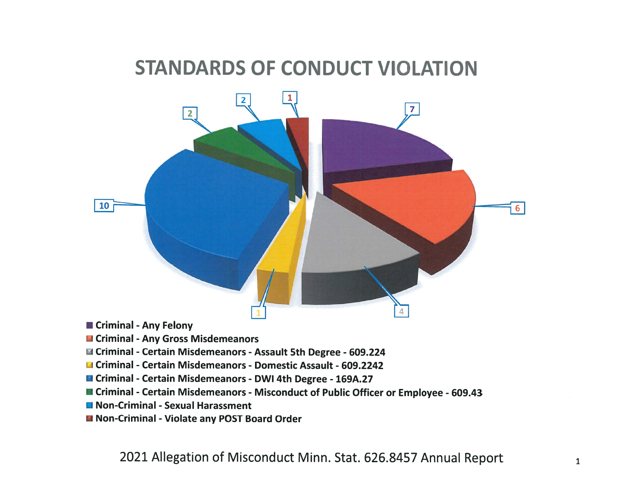## STANDARDS OF CONDUCT VIOLATION



- **n** Criminal Any Felony
- **U Criminal Any Gross Misdemeanors**
- Li Criminal -Certain Misdemeanors -Assault 5th Degree 609.224
- : Criminal -Certain Misdemeanors Domestic Assault 609.2242
- Criminal Certain Misdemeanors DWI 4th Degree 169A.27
- **E** Criminal Certain Misdemeanors Misconduct of Public Officer or Employee 609.43
- **Non-Criminal Sexual Harassment**
- Non-Criminal Violate any POST Board Order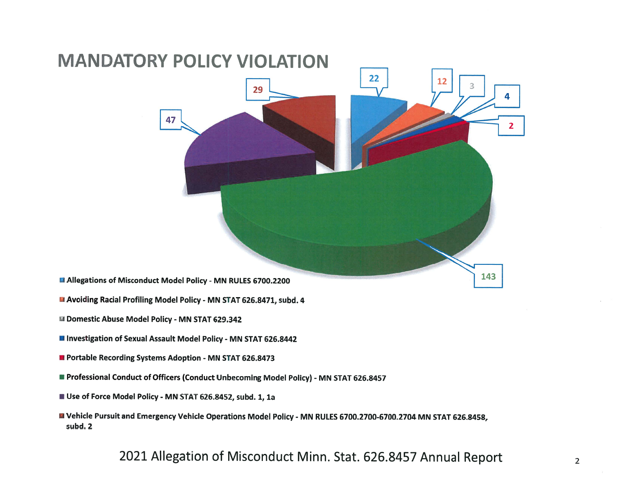

- **EX Domestic Abuse Model Policy MN STAT 629.342**
- **III Investigation of Sexual Assault Model Policy MN STAT 626.8442**
- **Portable Recording Systems Adoption MN STAT 626.8473**
- **Professional Conduct of Officers (Conduct Unbecoming Model Policy) MN STAT 626.8457**
- Use of Force Model Policy MN STAT 626.8452, subd. 1, 1a
- <sup>U</sup> Vehicle Pursuit and Emergency Vehicle Operations Model Policy MN RULES 6700.2700-6700.2704 MN STAT 626.8458, subd. 2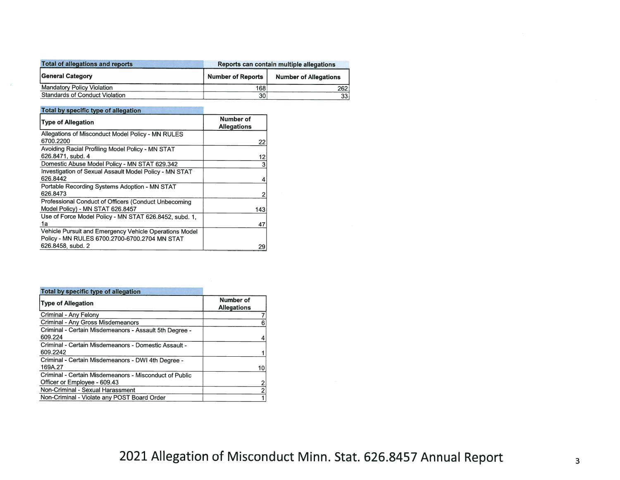| Total of allegations and reports      | Reports can contain multiple allegations |                              |  |  |
|---------------------------------------|------------------------------------------|------------------------------|--|--|
| General Category                      | <b>Number of Reports</b>                 | <b>Number of Allegations</b> |  |  |
| <b>Mandatory Policy Violation</b>     | 168                                      | 262                          |  |  |
| <b>Standards of Conduct Violation</b> | 30                                       | 33 <sup>1</sup>              |  |  |

## Total by specific type of allegation

| <b>Type of Allegation</b>                              | Number of<br><b>Allegations</b> |
|--------------------------------------------------------|---------------------------------|
| Allegations of Misconduct Model Policy - MN RULES      |                                 |
| 6700.2200                                              | 22                              |
| Avoiding Racial Profiling Model Policy - MN STAT       |                                 |
| 626.8471, subd. 4                                      | 12                              |
| Domestic Abuse Model Policy - MN STAT 629.342          |                                 |
| Investigation of Sexual Assault Model Policy - MN STAT |                                 |
| 626.8442                                               |                                 |
| Portable Recording Systems Adoption - MN STAT          |                                 |
| 626.8473                                               |                                 |
| Professional Conduct of Officers (Conduct Unbecoming   |                                 |
| Model Policy) - MN STAT 626.8457                       | 143                             |
| Use of Force Model Policy - MN STAT 626.8452, subd. 1. |                                 |
| 1a                                                     | 47                              |
| Vehicle Pursuit and Emergency Vehicle Operations Model |                                 |
| Policy - MN RULES 6700.2700-6700.2704 MN STAT          |                                 |
| 626.8458, subd. 2                                      | 29                              |

| Total by specific type of allegation                                                   |                                 |
|----------------------------------------------------------------------------------------|---------------------------------|
| <b>Type of Allegation</b>                                                              | Number of<br><b>Allegations</b> |
| Criminal - Any Felony                                                                  |                                 |
| Criminal - Any Gross Misdemeanors                                                      |                                 |
| Criminal - Certain Misdemeanors - Assault 5th Degree -<br>609.224                      |                                 |
| Criminal - Certain Misdemeanors - Domestic Assault -<br>609.2242                       |                                 |
| Criminal - Certain Misdemeanors - DWI 4th Degree -<br>169A.27                          | 10                              |
| Criminal - Certain Misdemeanors - Misconduct of Public<br>Officer or Employee - 609.43 |                                 |
| Non-Criminal - Sexual Harassment                                                       |                                 |
| Non-Criminal - Violate any POST Board Order                                            |                                 |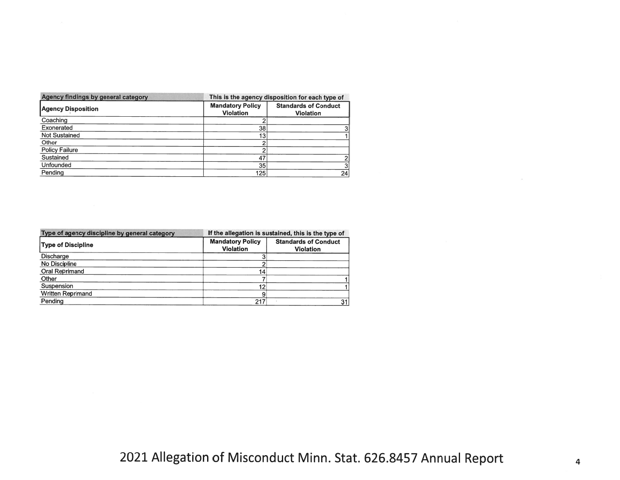| Agency findings by general category |                                             | This is the agency disposition for each type of |  |  |  |  |
|-------------------------------------|---------------------------------------------|-------------------------------------------------|--|--|--|--|
| <b>Agency Disposition</b>           | <b>Mandatory Policy</b><br><b>Violation</b> | <b>Standards of Conduct</b><br><b>Violation</b> |  |  |  |  |
| Coaching                            |                                             |                                                 |  |  |  |  |
| Exonerated                          | 38                                          |                                                 |  |  |  |  |
| Not Sustained                       | 13                                          |                                                 |  |  |  |  |
| Other                               |                                             |                                                 |  |  |  |  |
| <b>Policy Failure</b>               |                                             |                                                 |  |  |  |  |
| Sustained                           | 47                                          |                                                 |  |  |  |  |
| Unfounded                           | 35                                          |                                                 |  |  |  |  |
| Pending                             | 125                                         | 24                                              |  |  |  |  |

| Type of agency discipline by general category | If the allegation is sustained, this is the type of |                                                 |  |  |  |  |
|-----------------------------------------------|-----------------------------------------------------|-------------------------------------------------|--|--|--|--|
| <b>Type of Discipline</b>                     | <b>Mandatory Policy</b><br><b>Violation</b>         | <b>Standards of Conduct</b><br><b>Violation</b> |  |  |  |  |
| <b>Discharge</b>                              |                                                     |                                                 |  |  |  |  |
| No Discipline                                 |                                                     |                                                 |  |  |  |  |
| Oral Reprimand                                | 14 <sub>1</sub>                                     |                                                 |  |  |  |  |
| Other                                         |                                                     |                                                 |  |  |  |  |
| Suspension                                    | 12                                                  |                                                 |  |  |  |  |
| <b>Written Reprimand</b>                      |                                                     |                                                 |  |  |  |  |
| Pending                                       | 217                                                 | 31                                              |  |  |  |  |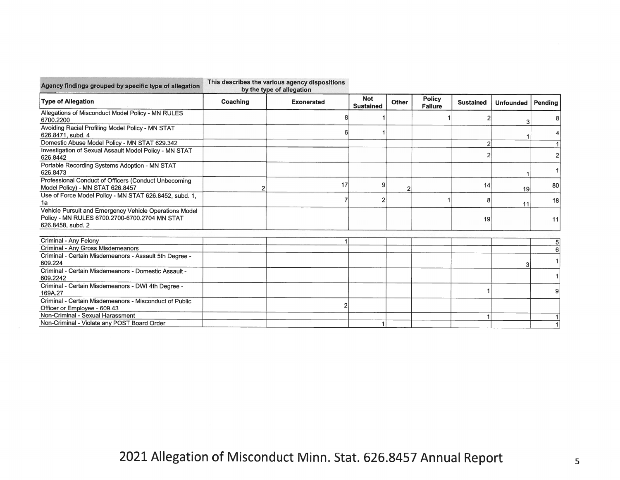| Agency findings grouped by specific type of allegation                                                                       | by the type of allegation |                   |                                |              |                                 |                  |                  |         |
|------------------------------------------------------------------------------------------------------------------------------|---------------------------|-------------------|--------------------------------|--------------|---------------------------------|------------------|------------------|---------|
| <b>Type of Allegation</b>                                                                                                    | Coaching                  | <b>Exonerated</b> | <b>Not</b><br><b>Sustained</b> | <b>Other</b> | <b>Policy</b><br><b>Failure</b> | <b>Sustained</b> | <b>Unfounded</b> | Pending |
| Allegations of Misconduct Model Policy - MN RULES<br>6700.2200                                                               |                           |                   |                                |              |                                 |                  |                  |         |
| Avoiding Racial Profiling Model Policy - MN STAT<br>626.8471, subd. 4                                                        |                           |                   |                                |              |                                 |                  |                  |         |
| Domestic Abuse Model Policy - MN STAT 629.342                                                                                |                           |                   |                                |              |                                 | $\overline{2}$   |                  |         |
| Investigation of Sexual Assault Model Policy - MN STAT<br>626.8442                                                           |                           |                   |                                |              |                                 |                  |                  |         |
| Portable Recording Systems Adoption - MN STAT<br>626.8473                                                                    |                           |                   |                                |              |                                 |                  |                  |         |
| Professional Conduct of Officers (Conduct Unbecoming<br>Model Policy) - MN STAT 626.8457                                     |                           | 17                | q                              |              |                                 | 14               | 19               | 80      |
| Use of Force Model Policy - MN STAT 626.8452, subd. 1,<br>1a                                                                 |                           |                   | 2                              |              |                                 | 8                | 11               | 18      |
| Vehicle Pursuit and Emergency Vehicle Operations Model<br>Policy - MN RULES 6700.2700-6700.2704 MN STAT<br>626.8458, subd. 2 |                           |                   |                                |              |                                 | 19               |                  | 11      |
| Criminal - Any Felony                                                                                                        |                           |                   |                                |              |                                 |                  |                  |         |
| Criminal - Any Gross Misdemeanors                                                                                            |                           |                   |                                |              |                                 |                  |                  | 5       |
| Criminal - Certain Misdemeanors - Assault 5th Degree -<br>609.224                                                            |                           |                   |                                |              |                                 |                  |                  |         |
| Criminal - Certain Misdemeanors - Domestic Assault -<br>609.2242                                                             |                           |                   |                                |              |                                 |                  |                  |         |
| Criminal - Certain Misdemeanors - DWI 4th Degree -<br>169A.27                                                                |                           |                   |                                |              |                                 |                  |                  | 9       |
| Criminal - Certain Misdemeanors - Misconduct of Public<br>Officer or Employee - 609.43                                       |                           |                   |                                |              |                                 |                  |                  |         |
| Non-Criminal - Sexual Harassment                                                                                             |                           |                   |                                |              |                                 |                  |                  |         |
| Non-Criminal - Violate any POST Board Order                                                                                  |                           |                   |                                |              |                                 |                  |                  |         |

This describes the various agency dispositions